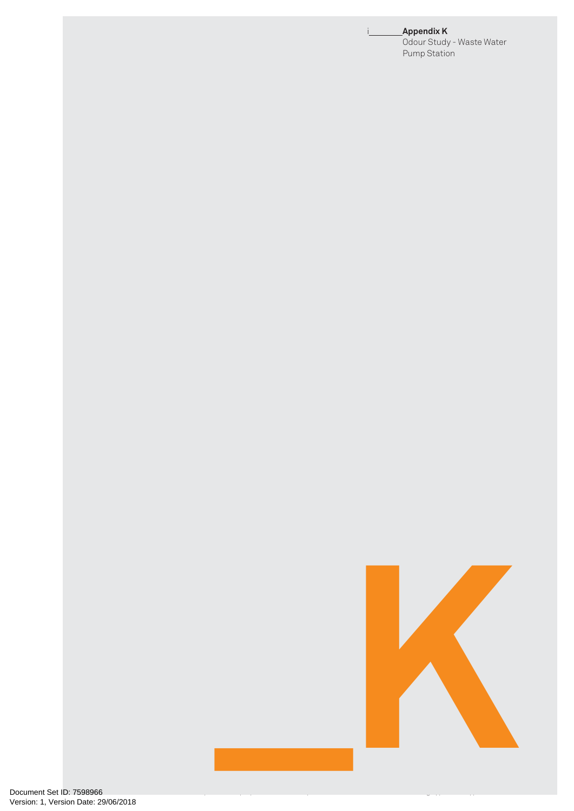### i **Appendix K**

Odour Study - Waste Water Pump Station



 $\mathcal{D}_\mathbf{p}$  reports the structure Planning  $\mathcal{D}_\mathbf{p}$  . The planning  $\mathcal{D}_\mathbf{p}$  is the planning  $\mathcal{D}_\mathbf{p}$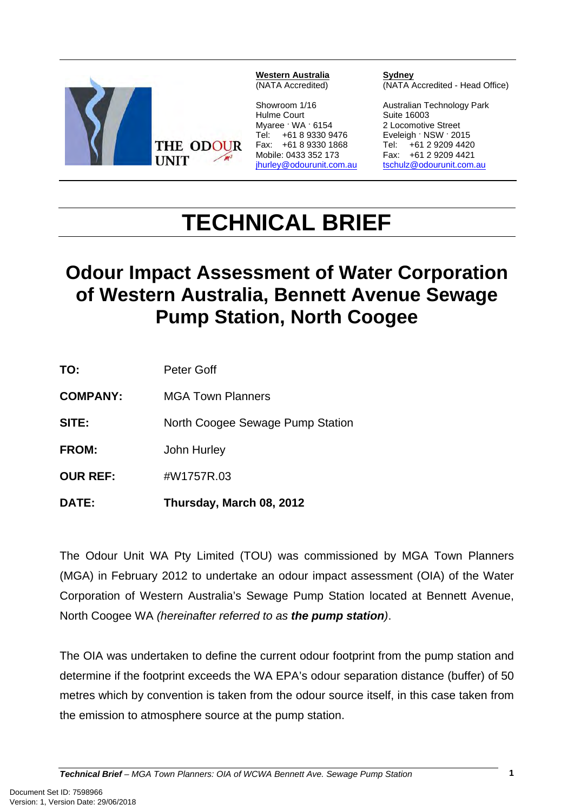

#### **Western Australia** (NATA Accredited)

Showroom 1/16 Hulme Court Myaree · WA · 6154 Tel: +61 8 9330 9476 Fax: +61 8 9330 1868 Mobile: 0433 352 173 [jhurley@odourunit.com.au](mailto:jhurley@odourunit.com.au) **Sydney** (NATA Accredited - Head Office)

Australian Technology Park Suite 16003 2 Locomotive Street Eveleigh · NSW · 2015 Tel: +61 2 9209 4420 Fax: +61 2 9209 4421 [tschulz@odourunit.com.au](mailto:tschulz@odourunit.com.au)

# **TECHNICAL BRIEF**

## **Odour Impact Assessment of Water Corporation of Western Australia, Bennett Avenue Sewage Pump Station, North Coogee**

**TO:** Peter Goff

**COMPANY:** MGA Town Planners

**SITE:** North Coogee Sewage Pump Station

**FROM:** John Hurley

**OUR REF:** #W1757R.03

**DATE: Thursday, March 08, 2012** 

The Odour Unit WA Pty Limited (TOU) was commissioned by MGA Town Planners (MGA) in February 2012 to undertake an odour impact assessment (OIA) of the Water Corporation of Western Australia's Sewage Pump Station located at Bennett Avenue, North Coogee WA *(hereinafter referred to as the pump station)*.

The OIA was undertaken to define the current odour footprint from the pump station and determine if the footprint exceeds the WA EPA's odour separation distance (buffer) of 50 metres which by convention is taken from the odour source itself, in this case taken from the emission to atmosphere source at the pump station.

*Technical Brief – MGA Town Planners: OIA of WCWA Bennett Ave. Sewage Pump Station* **1**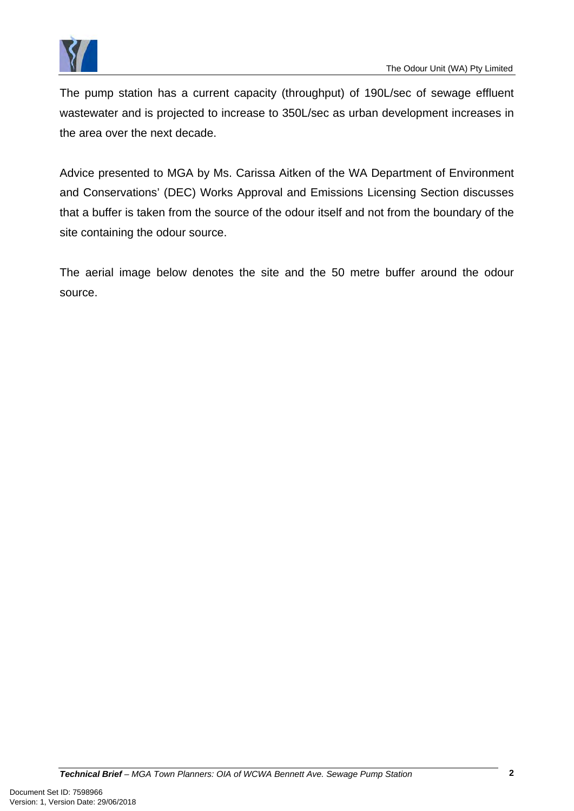

The pump station has a current capacity (throughput) of 190L/sec of sewage effluent wastewater and is projected to increase to 350L/sec as urban development increases in the area over the next decade.

Advice presented to MGA by Ms. Carissa Aitken of the WA Department of Environment and Conservations' (DEC) Works Approval and Emissions Licensing Section discusses that a buffer is taken from the source of the odour itself and not from the boundary of the site containing the odour source.

The aerial image below denotes the site and the 50 metre buffer around the odour source.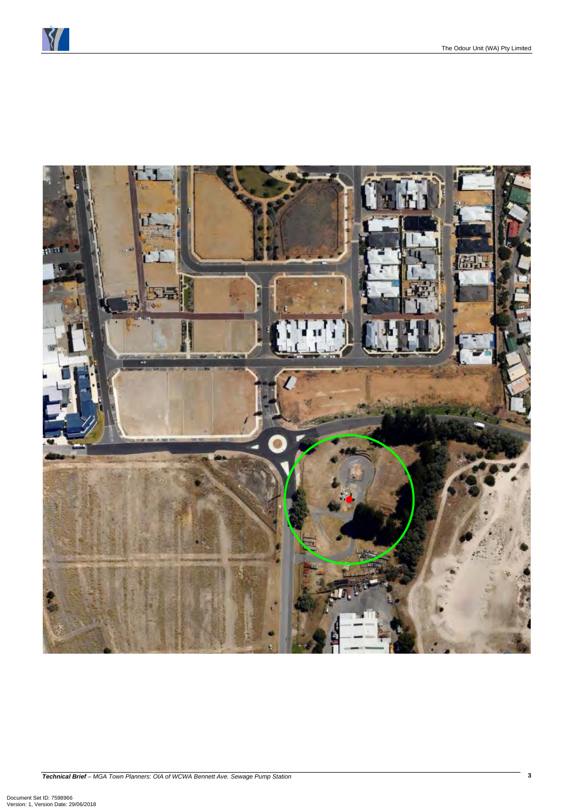





*Technical Brief* **3** *– MGA Town Planners: OIA of WCWA Bennett Ave. Sewage Pump Station* 

Document Set ID: 7598966<br>Version: 1, Version Date: 29/06/2018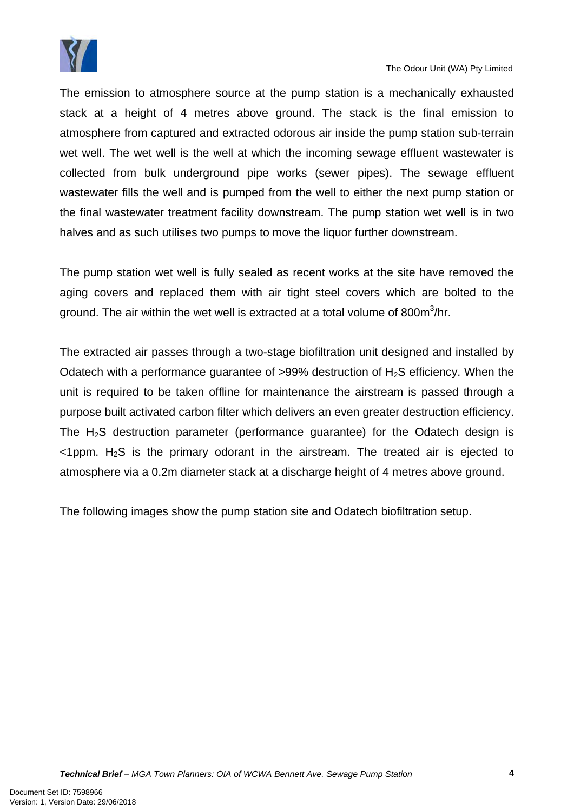

The emission to atmosphere source at the pump station is a mechanically exhausted stack at a height of 4 metres above ground. The stack is the final emission to atmosphere from captured and extracted odorous air inside the pump station sub-terrain wet well. The wet well is the well at which the incoming sewage effluent wastewater is collected from bulk underground pipe works (sewer pipes). The sewage effluent wastewater fills the well and is pumped from the well to either the next pump station or the final wastewater treatment facility downstream. The pump station wet well is in two halves and as such utilises two pumps to move the liquor further downstream.

The pump station wet well is fully sealed as recent works at the site have removed the aging covers and replaced them with air tight steel covers which are bolted to the ground. The air within the wet well is extracted at a total volume of 800m<sup>3</sup>/hr.

The extracted air passes through a two-stage biofiltration unit designed and installed by Odatech with a performance guarantee of  $>99\%$  destruction of H<sub>2</sub>S efficiency. When the unit is required to be taken offline for maintenance the airstream is passed through a purpose built activated carbon filter which delivers an even greater destruction efficiency. The  $H_2S$  destruction parameter (performance guarantee) for the Odatech design is  $\le$ 1ppm. H<sub>2</sub>S is the primary odorant in the airstream. The treated air is ejected to atmosphere via a 0.2m diameter stack at a discharge height of 4 metres above ground.

The following images show the pump station site and Odatech biofiltration setup.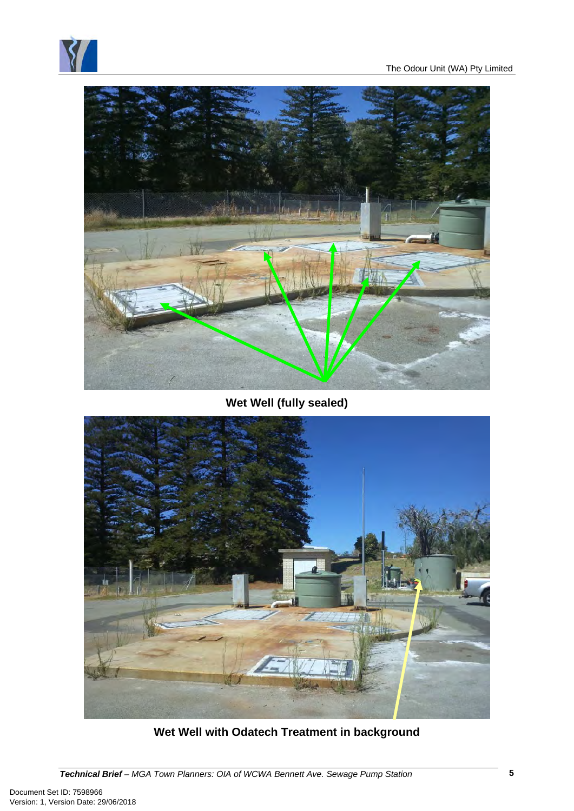



### **Wet Well (fully sealed)**



**Wet Well with Odatech Treatment in background** 

*Technical Brief – MGA Town Planners: OIA of WCWA Bennett Ave. Sewage Pump Station* **5**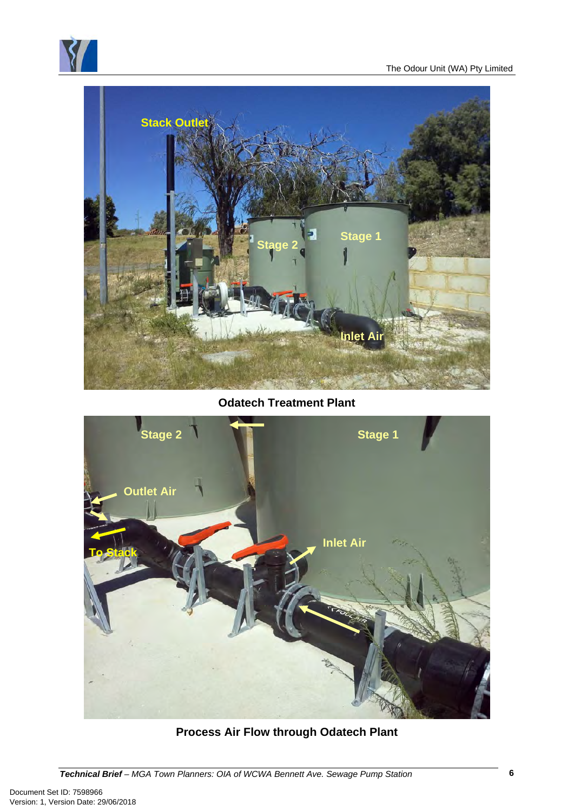



**Odatech Treatment Plant** 



**Process Air Flow through Odatech Plant**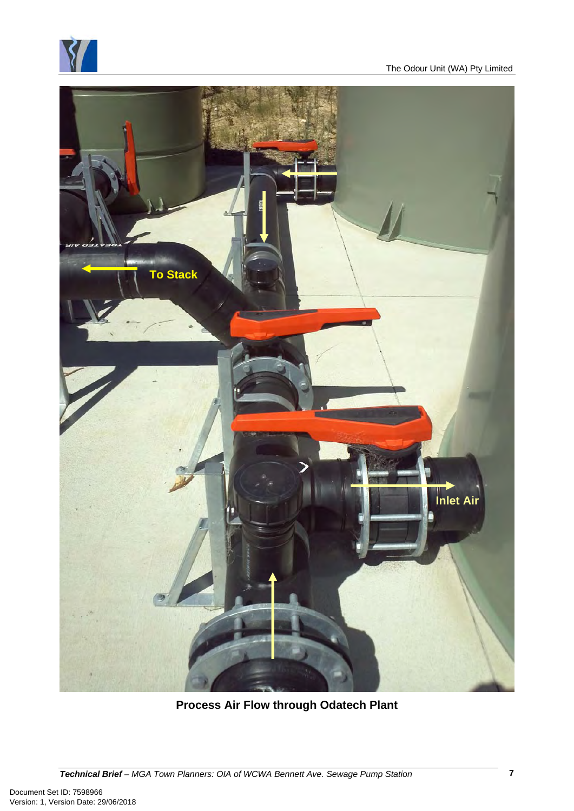



**Process Air Flow through Odatech Plant**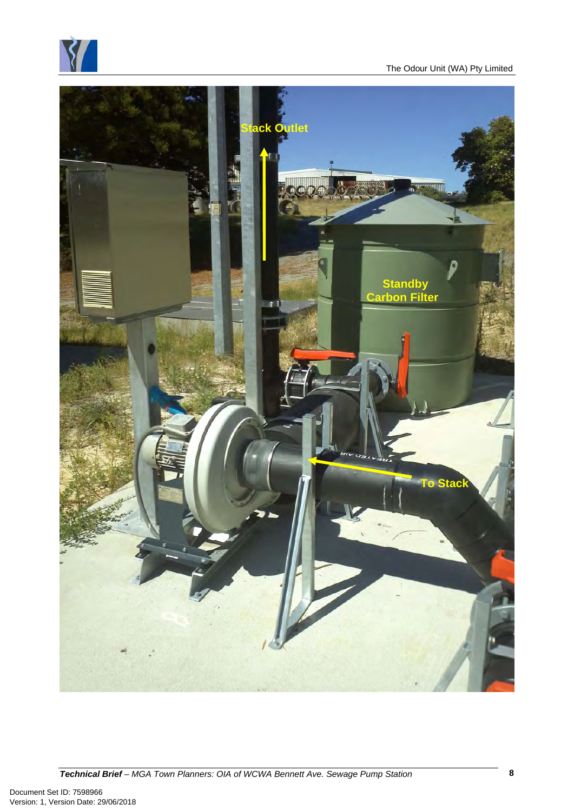

The Odour Unit (WA) Pty Limited

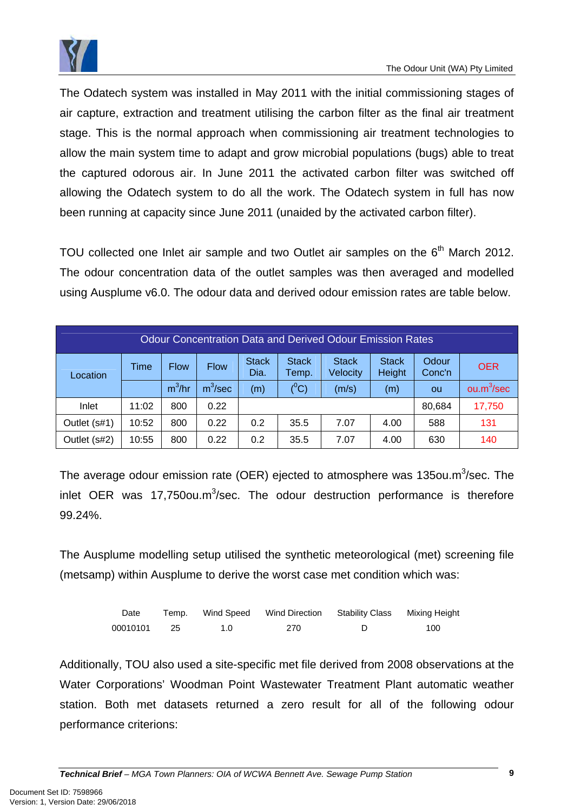



The Odatech system was installed in May 2011 with the initial commissioning stages of air capture, extraction and treatment utilising the carbon filter as the final air treatment stage. This is the normal approach when commissioning air treatment technologies to allow the main system time to adapt and grow microbial populations (bugs) able to treat the captured odorous air. In June 2011 the activated carbon filter was switched off allowing the Odatech system to do all the work. The Odatech system in full has now been running at capacity since June 2011 (unaided by the activated carbon filter).

TOU collected one Inlet air sample and two Outlet air samples on the 6<sup>th</sup> March 2012. The odour concentration data of the outlet samples was then averaged and modelled using Ausplume v6.0. The odour data and derived odour emission rates are table below.

| <b>Odour Concentration Data and Derived Odour Emission Rates</b> |       |             |             |                      |                       |                          |                        |                 |                        |  |  |
|------------------------------------------------------------------|-------|-------------|-------------|----------------------|-----------------------|--------------------------|------------------------|-----------------|------------------------|--|--|
| Location                                                         | Time  | <b>Flow</b> | <b>Flow</b> | <b>Stack</b><br>Dia. | <b>Stack</b><br>Temp. | <b>Stack</b><br>Velocity | <b>Stack</b><br>Height | Odour<br>Conc'n | <b>OER</b>             |  |  |
|                                                                  |       | $m^3/hr$    | $m^3$ /sec  | (m)                  | $(^0\text{C})$        | (m/s)                    | (m)                    | ou              | ou.m <sup>3</sup> /sec |  |  |
| Inlet                                                            | 11:02 | 800         | 0.22        | 80,684               |                       |                          |                        |                 | 17,750                 |  |  |
| Outlet (s#1)                                                     | 10:52 | 800         | 0.22        | 0.2                  | 35.5                  | 7.07                     | 4.00                   | 588             | 131                    |  |  |
| Outlet (s#2)                                                     | 10:55 | 800         | 0.22        | 0.2                  | 35.5                  | 7.07                     | 4.00                   | 630             | 140                    |  |  |

The average odour emission rate (OER) ejected to atmosphere was 135ou.m<sup>3</sup>/sec. The inlet OER was  $17,750$ ou.m<sup>3</sup>/sec. The odour destruction performance is therefore 99.24%.

The Ausplume modelling setup utilised the synthetic meteorological (met) screening file (metsamp) within Ausplume to derive the worst case met condition which was:

| Date     | Temp. Wind Speed | Wind Direction Stability Class | Mixing Height |
|----------|------------------|--------------------------------|---------------|
| 00010101 |                  | 270                            | 100           |

Additionally, TOU also used a site-specific met file derived from 2008 observations at the Water Corporations' Woodman Point Wastewater Treatment Plant automatic weather station. Both met datasets returned a zero result for all of the following odour performance criterions: